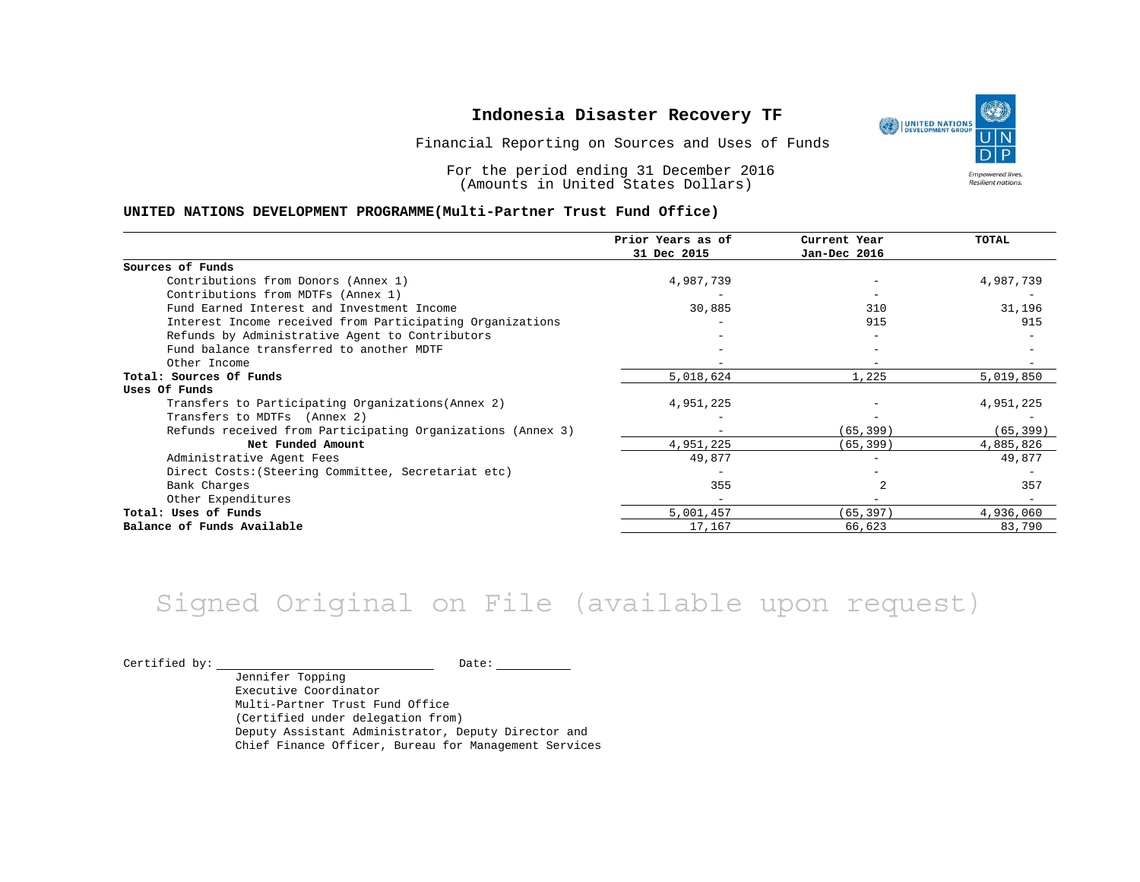Financial Reporting on Sources and Uses of Funds

For the period ending 31 December 2016 (Amounts in United States Dollars)

#### **UNITED NATIONS DEVELOPMENT PROGRAMME(Multi-Partner Trust Fund Office)**

|                                                             | Prior Years as of<br>31 Dec 2015 | Current Year<br>Jan-Dec 2016 | <b>TOTAL</b> |
|-------------------------------------------------------------|----------------------------------|------------------------------|--------------|
|                                                             |                                  |                              |              |
| Sources of Funds                                            |                                  |                              |              |
| Contributions from Donors (Annex 1)                         | 4,987,739                        |                              | 4,987,739    |
| Contributions from MDTFs (Annex 1)                          |                                  |                              |              |
| Fund Earned Interest and Investment Income                  | 30,885                           | 310                          | 31,196       |
| Interest Income received from Participating Organizations   |                                  | 915                          | 915          |
| Refunds by Administrative Agent to Contributors             |                                  |                              |              |
| Fund balance transferred to another MDTF                    |                                  |                              |              |
| Other Income                                                |                                  | $-$                          |              |
| Total: Sources Of Funds                                     | 5,018,624                        | 1,225                        | 5,019,850    |
| Uses Of Funds                                               |                                  |                              |              |
| Transfers to Participating Organizations (Annex 2)          | 4,951,225                        |                              | 4,951,225    |
| Transfers to MDTFs (Annex 2)                                |                                  |                              |              |
| Refunds received from Participating Organizations (Annex 3) |                                  | (65, 399)                    | (65, 399)    |
| Net Funded Amount                                           | 4,951,225                        | (65, 399)                    | 4,885,826    |
| Administrative Agent Fees                                   | 49,877                           | $-$                          | 49,877       |
| Direct Costs: (Steering Committee, Secretariat etc)         |                                  |                              |              |
| Bank Charges                                                | 355                              |                              | 357          |
| Other Expenditures                                          |                                  |                              |              |
| Total: Uses of Funds                                        | 5,001,457                        | (65, 397)                    | 4,936,060    |
| Balance of Funds Available                                  | 17,167                           | 66,623                       | 83,790       |

## Signed Original on File (available upon request)

 $\begin{picture}(180,10) \put(0,0){\vector(1,0){100}} \put(15,0){\vector(1,0){100}} \put(15,0){\vector(1,0){100}} \put(15,0){\vector(1,0){100}} \put(15,0){\vector(1,0){100}} \put(15,0){\vector(1,0){100}} \put(15,0){\vector(1,0){100}} \put(15,0){\vector(1,0){100}} \put(15,0){\vector(1,0){100}} \put(15,0){\vector(1,0){100}} \put(15,0){\vector(1,0){100}}$ 

Jennifer Topping Executive Coordinator Multi-Partner Trust Fund Office (Certified under delegation from) Deputy Assistant Administrator, Deputy Director and Chief Finance Officer, Bureau for Management Services

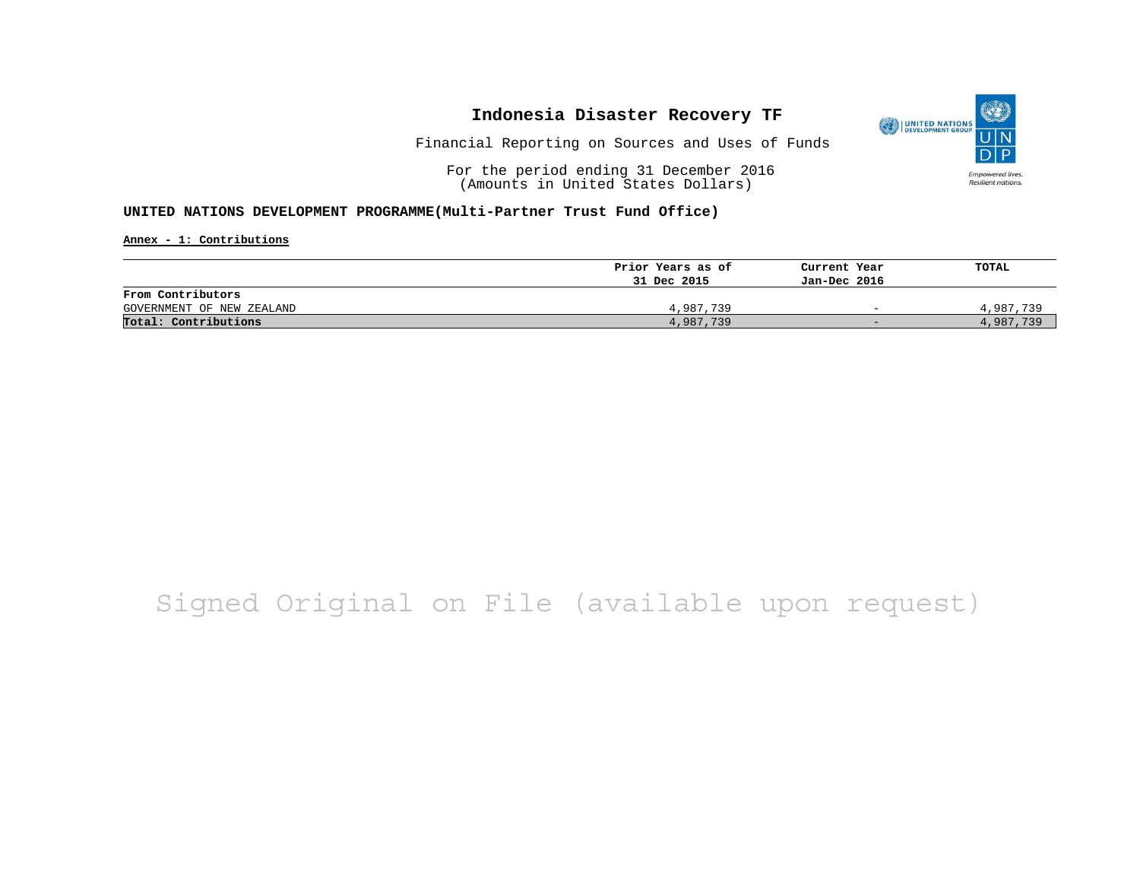

Financial Reporting on Sources and Uses of Funds

For the period ending 31 December 2016 (Amounts in United States Dollars)

#### **UNITED NATIONS DEVELOPMENT PROGRAMME(Multi-Partner Trust Fund Office)**

**Annex - 1: Contributions**

|                           | Prior Years as of | Current Year             | TOTAL     |
|---------------------------|-------------------|--------------------------|-----------|
|                           | 31 Dec 2015       | Jan-Dec 2016             |           |
| From Contributors         |                   |                          |           |
| GOVERNMENT OF NEW ZEALAND | 4,987,739         | $\overline{\phantom{0}}$ | 4,987,739 |
| Total: Contributions      | 4,987,739         | $-$                      | 4,987,739 |

## Signed Original on File (available upon request)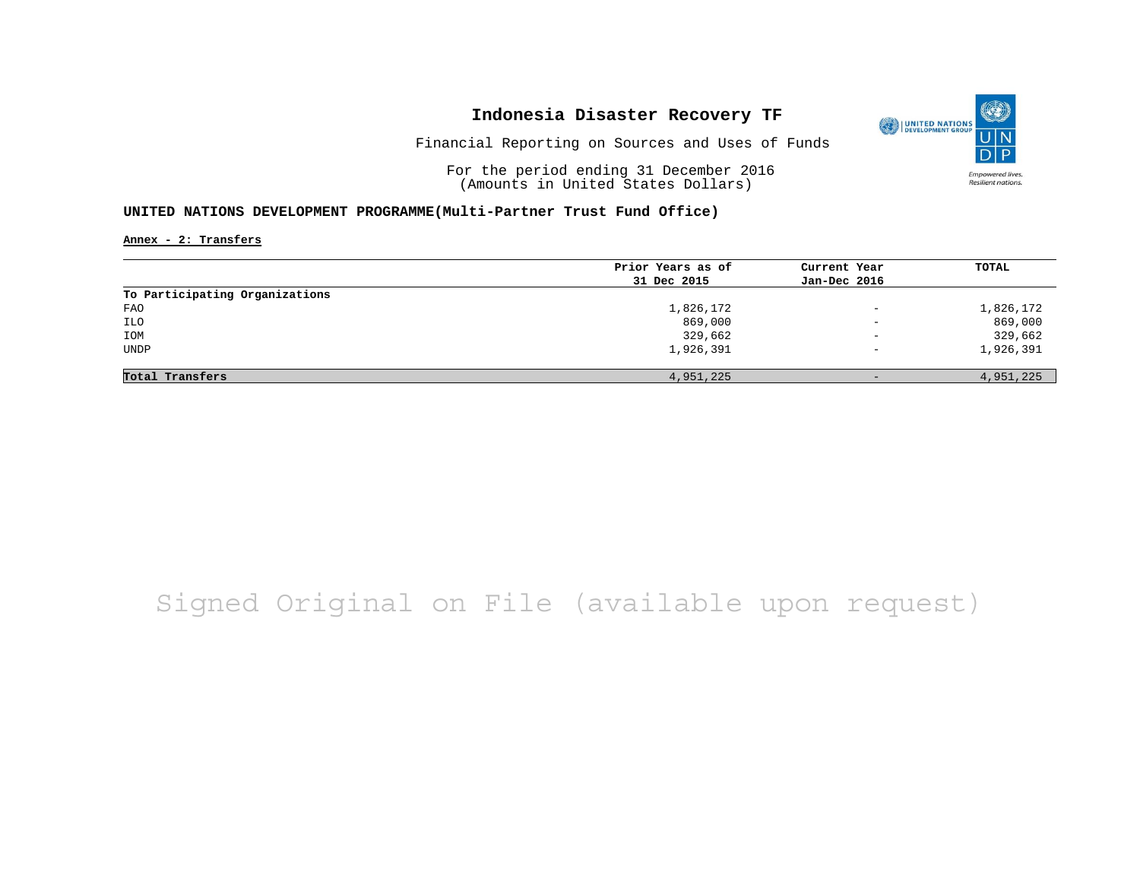

Financial Reporting on Sources and Uses of Funds

For the period ending 31 December 2016 (Amounts in United States Dollars)

### **UNITED NATIONS DEVELOPMENT PROGRAMME(Multi-Partner Trust Fund Office)**

**Annex - 2: Transfers**

|                                | Prior Years as of | Current Year             | <b>TOTAL</b> |
|--------------------------------|-------------------|--------------------------|--------------|
|                                | 31 Dec 2015       | Jan-Dec 2016             |              |
| To Participating Organizations |                   |                          |              |
| FAO                            | 1,826,172         | $\overline{\phantom{0}}$ | 1,826,172    |
| ILO                            | 869,000           | $\overline{\phantom{a}}$ | 869,000      |
| IOM                            | 329,662           | $\overline{\phantom{a}}$ | 329,662      |
| <b>UNDP</b>                    | 1,926,391         | $\qquad \qquad -$        | 1,926,391    |
|                                |                   |                          |              |
| Total Transfers                | 4,951,225         | $-$                      | 4,951,225    |

# Signed Original on File (available upon request)